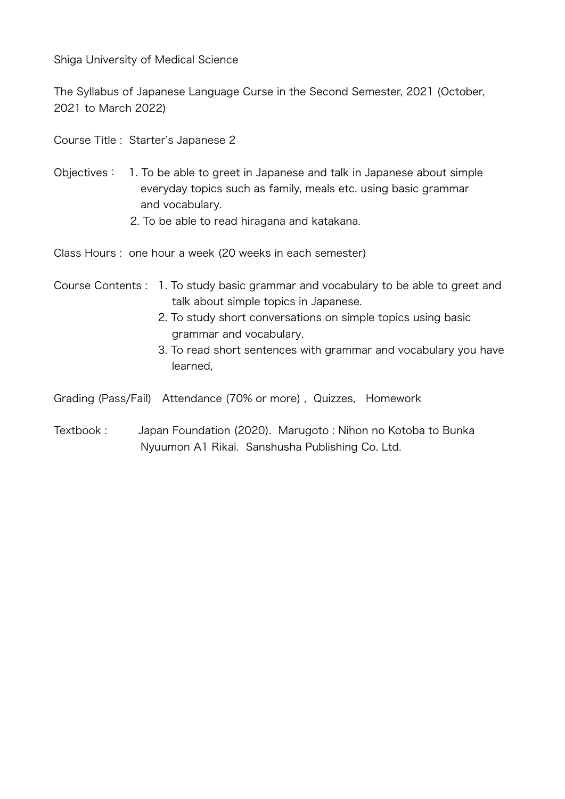Shiga University of Medical Science

The Syllabus of Japanese Language Curse in the Second Semester, 2021 (October, 2021 to March 2022)

Course Title : Starter's Japanese 2

- Objectives: 1. To be able to greet in Japanese and talk in Japanese about simple everyday topics such as family, meals etc. using basic grammar and vocabulary.
	- 2. To be able to read hiragana and katakana.

Class Hours : one hour a week (20 weeks in each semester)

## Course Contents : 1. To study basic grammar and vocabulary to be able to greet and talk about simple topics in Japanese.

- 2. To study short conversations on simple topics using basic grammar and vocabulary.
- 3. To read short sentences with grammar and vocabulary you have learned,

Grading (Pass/Fail) Attendance (70% or more) , Quizzes, Homework

Textbook : Japan Foundation (2020). Marugoto : Nihon no Kotoba to Bunka Nyuumon A1 Rikai. Sanshusha Publishing Co. Ltd.